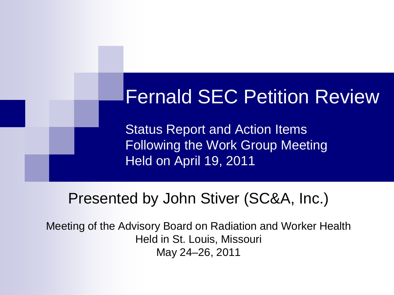# Fernald SEC Petition Review

Status Report and Action Items Following the Work Group Meeting Held on April 19, 2011

### Presented by John Stiver (SC&A, Inc.)

Meeting of the Advisory Board on Radiation and Worker Health Held in St. Louis, Missouri May 24–26, 2011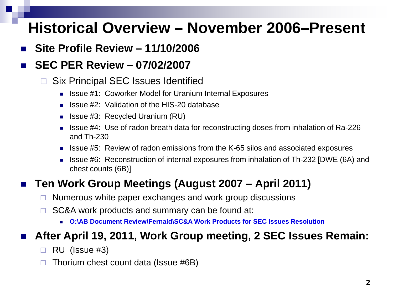### **Historical Overview – November 2006–Present**

**Site Profile Review – 11/10/2006**

#### **SEC PER Review – 07/02/2007**

- □ Six Principal SEC Issues Identified
	- Issue #1: Coworker Model for Uranium Internal Exposures
	- $\blacksquare$  Issue #2: Validation of the HIS-20 database
	- **Ionally 19:3:** Recycled Uranium (RU)
	- Issue #4: Use of radon breath data for reconstructing doses from inhalation of Ra-226 and Th-230
	- Issue #5: Review of radon emissions from the K-65 silos and associated exposures
	- Issue #6: Reconstruction of internal exposures from inhalation of Th-232 [DWE (6A) and chest counts (6B)]

#### **Ten Work Group Meetings (August 2007 – April 2011)**

- $\Box$  Numerous white paper exchanges and work group discussions
- $\Box$  SC&A work products and summary can be found at:
	- **O:\AB Document Review\Fernald\SC&A Work Products for SEC Issues Resolution**

#### **After April 19, 2011, Work Group meeting, 2 SEC Issues Remain:**

- $\Box$  RU (Issue #3)
- $\Box$  Thorium chest count data (Issue #6B)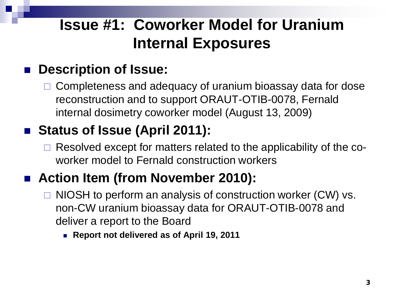## **Issue #1: Coworker Model for Uranium Internal Exposures**

### **Description of Issue:**

 Completeness and adequacy of uranium bioassay data for dose reconstruction and to support ORAUT-OTIB-0078, Fernald internal dosimetry coworker model (August 13, 2009)

### ■ Status of Issue (April 2011):

 $\Box$  Resolved except for matters related to the applicability of the coworker model to Fernald construction workers

### ■ Action Item (from November 2010):

- $\Box$  NIOSH to perform an analysis of construction worker (CW) vs. non-CW uranium bioassay data for ORAUT-OTIB-0078 and deliver a report to the Board
	- **Report not delivered as of April 19, 2011**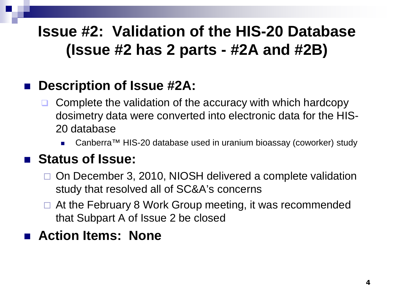## **Issue #2: Validation of the HIS-20 Database (Issue #2 has 2 parts - #2A and #2B)**

### **Description of Issue #2A:**

- Complete the validation of the accuracy with which hardcopy dosimetry data were converted into electronic data for the HIS-20 database
	- Canberra™ HIS-20 database used in uranium bioassay (coworker) study

### ■ Status of Issue:

- □ On December 3, 2010, NIOSH delivered a complete validation study that resolved all of SC&A's concerns
- □ At the February 8 Work Group meeting, it was recommended that Subpart A of Issue 2 be closed

### **Action Items: None**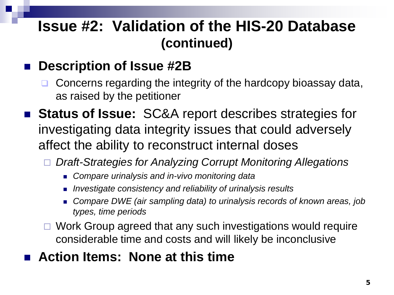### **Issue #2: Validation of the HIS-20 Database (continued)**

### **Description of Issue #2B**

- Concerns regarding the integrity of the hardcopy bioassay data, as raised by the petitioner
- **Status of Issue:** SC&A report describes strategies for investigating data integrity issues that could adversely affect the ability to reconstruct internal doses
	- *Draft-Strategies for Analyzing Corrupt Monitoring Allegations*
		- *Compare urinalysis and in-vivo monitoring data*
		- *Investigate consistency and reliability of urinalysis results*
		- *Compare DWE (air sampling data) to urinalysis records of known areas, job types, time periods*
	- $\Box$  Work Group agreed that any such investigations would require considerable time and costs and will likely be inconclusive

### **Action Items: None at this time**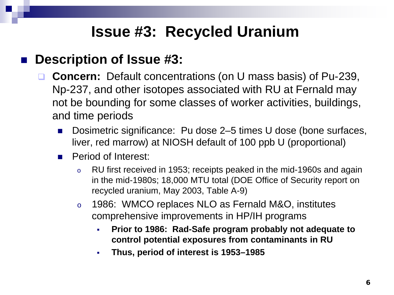### **Issue #3: Recycled Uranium**

### ■ Description of Issue #3:

- **Concern:** Default concentrations (on U mass basis) of Pu-239, Np-237, and other isotopes associated with RU at Fernald may not be bounding for some classes of worker activities, buildings, and time periods
	- Dosimetric significance: Pu dose 2–5 times U dose (bone surfaces, liver, red marrow) at NIOSH default of 100 ppb U (proportional)
	- **Period of Interest:** 
		- o RU first received in 1953; receipts peaked in the mid-1960s and again in the mid-1980s; 18,000 MTU total (DOE Office of Security report on recycled uranium, May 2003, Table A-9)
		- o 1986: WMCO replaces NLO as Fernald M&O, institutes comprehensive improvements in HP/IH programs
			- **Prior to 1986: Rad-Safe program probably not adequate to control potential exposures from contaminants in RU**
			- **Thus, period of interest is 1953–1985**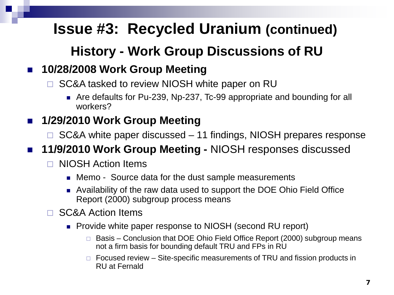### **History - Work Group Discussions of RU**

#### **10/28/2008 Work Group Meeting**

- SC&A tasked to review NIOSH white paper on RU
	- Are defaults for Pu-239, Np-237, Tc-99 appropriate and bounding for all workers?

#### **1/29/2010 Work Group Meeting**

- $\Box$  SC&A white paper discussed 11 findings, NIOSH prepares response
- **11/9/2010 Work Group Meeting NIOSH responses discussed** 
	- □ NIOSH Action Items
		- Memo Source data for the dust sample measurements
		- Availability of the raw data used to support the DOE Ohio Field Office Report (2000) subgroup process means
	- □ SC&A Action Items
		- **Provide white paper response to NIOSH (second RU report)** 
			- Basis Conclusion that DOE Ohio Field Office Report (2000) subgroup means not a firm basis for bounding default TRU and FPs in RU
			- $\Box$  Focused review Site-specific measurements of TRU and fission products in RU at Fernald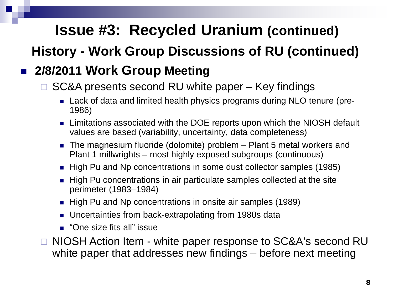**History - Work Group Discussions of RU (continued)**

### **2/8/2011 Work Group Meeting**

#### SC&A presents second RU white paper – Key findings

- Lack of data and limited health physics programs during NLO tenure (pre-1986)
- Limitations associated with the DOE reports upon which the NIOSH default values are based (variability, uncertainty, data completeness)
- The magnesium fluoride (dolomite) problem Plant 5 metal workers and Plant 1 millwrights – most highly exposed subgroups (continuous)
- High Pu and Np concentrations in some dust collector samples (1985)
- High Pu concentrations in air particulate samples collected at the site perimeter (1983–1984)
- High Pu and Np concentrations in onsite air samples (1989)
- Uncertainties from back-extrapolating from 1980s data
- "One size fits all" issue

 NIOSH Action Item - white paper response to SC&A's second RU white paper that addresses new findings – before next meeting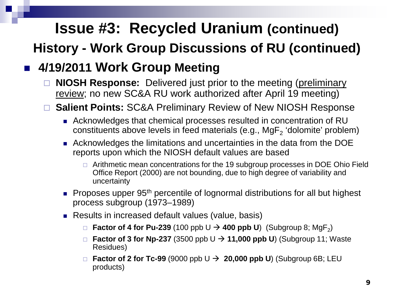### **Issue #3: Recycled Uranium (continued) History - Work Group Discussions of RU (continued)**

### **4/19/2011 Work Group Meeting**

- **NIOSH Response:** Delivered just prior to the meeting (preliminary review; no new SC&A RU work authorized after April 19 meeting)
- **Salient Points:** SC&A Preliminary Review of New NIOSH Response
	- Acknowledges that chemical processes resulted in concentration of RU constituents above levels in feed materials (e.g.,  $MgF<sub>2</sub>$  'dolomite' problem)
	- Acknowledges the limitations and uncertainties in the data from the DOE reports upon which the NIOSH default values are based
		- $\Box$  Arithmetic mean concentrations for the 19 subgroup processes in DOE Ohio Field Office Report (2000) are not bounding, due to high degree of variability and uncertainty
	- **Proposes upper 95<sup>th</sup> percentile of lognormal distributions for all but highest** process subgroup (1973–1989)
	- Results in increased default values (value, basis)
		- **Factor of 4 for Pu-239** (100 ppb  $\cup \rightarrow$  400 ppb U) (Subgroup 8; MgF<sub>2</sub>)
		- **Factor of 3 for Np-237** (3500 ppb  $U \rightarrow 11,000$  ppb U) (Subgroup 11; Waste Residues)
		- **Factor of 2 for Tc-99** (9000 ppb  $\cup \rightarrow 20,000$  ppb U) (Subgroup 6B; LEU products)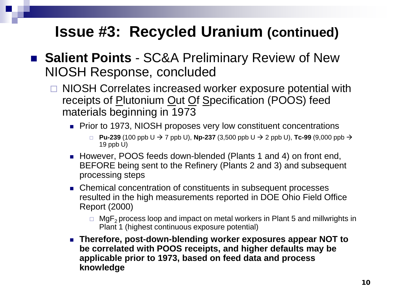- **Salient Points**  SC&A Preliminary Review of New NIOSH Response, concluded
	- □ NIOSH Correlates increased worker exposure potential with receipts of Plutonium Out Of Specification (POOS) feed materials beginning in 1973
		- Prior to 1973, NIOSH proposes very low constituent concentrations
			- **Pu-239** (100 ppb U  $\rightarrow$  7 ppb U), **Np-237** (3,500 ppb U  $\rightarrow$  2 ppb U), **Tc-99** (9,000 ppb  $\rightarrow$ 19 ppb U)
		- However, POOS feeds down-blended (Plants 1 and 4) on front end, BEFORE being sent to the Refinery (Plants 2 and 3) and subsequent processing steps
		- Chemical concentration of constituents in subsequent processes resulted in the high measurements reported in DOE Ohio Field Office Report (2000)
			- $\Box$  MgF<sub>2</sub> process loop and impact on metal workers in Plant 5 and millwrights in Plant 1 (highest continuous exposure potential)
		- **Therefore, post-down-blending worker exposures appear NOT to be correlated with POOS receipts, and higher defaults may be applicable prior to 1973, based on feed data and process knowledge**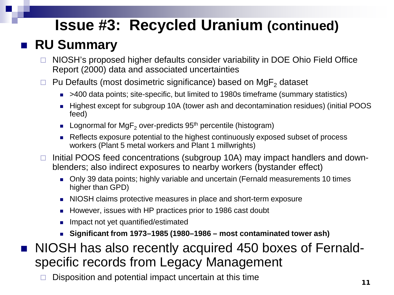### **RU Summary**

- □ NIOSH's proposed higher defaults consider variability in DOE Ohio Field Office Report (2000) data and associated uncertainties
- $\Box$  Pu Defaults (most dosimetric significance) based on MgF<sub>2</sub> dataset
	- >400 data points; site-specific, but limited to 1980s timeframe (summary statistics)
	- Highest except for subgroup 10A (tower ash and decontamination residues) (initial POOS feed)
	- **Lognormal for MgF**<sub>2</sub> over-predicts  $95<sup>th</sup>$  percentile (histogram)
	- Reflects exposure potential to the highest continuously exposed subset of process workers (Plant 5 metal workers and Plant 1 millwrights)
- $\Box$  Initial POOS feed concentrations (subgroup 10A) may impact handlers and downblenders; also indirect exposures to nearby workers (bystander effect)
	- Only 39 data points; highly variable and uncertain (Fernald measurements 10 times higher than GPD)
	- NIOSH claims protective measures in place and short-term exposure
	- However, issues with HP practices prior to 1986 cast doubt
	- Impact not yet quantified/estimated
	- **Significant from 1973–1985 (1980–1986 – most contaminated tower ash)**
- NIOSH has also recently acquired 450 boxes of Fernaldspecific records from Legacy Management
	- $\Box$  Disposition and potential impact uncertain at this time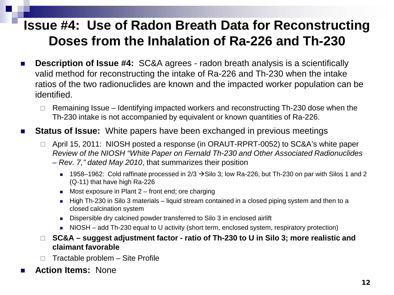### **Issue #4: Use of Radon Breath Data for Reconstructing Doses from the Inhalation of Ra-226 and Th-230**

- **Description of Issue #4:** SC&A agrees radon breath analysis is a scientifically valid method for reconstructing the intake of Ra-226 and Th-230 when the intake ratios of the two radionuclides are known and the impacted worker population can be identified.
	- Remaining Issue Identifying impacted workers and reconstructing Th-230 dose when the Th-230 intake is not accompanied by equivalent or known quantities of Ra-226.
- **Status of Issue:** White papers have been exchanged in previous meetings
	- □ April 15, 2011: NIOSH posted a response (in ORAUT-RPRT-0052) to SC&A's white paper *Review of the NIOSH "White Paper on Fernald Th-230 and Other Associated Radionuclides – Rev. 7," dated May 2010*, that summarizes their position
		- 1958–1962: Cold raffinate processed in  $2/3 \rightarrow$  Silo 3; low Ra-226, but Th-230 on par with Silos 1 and 2 (Q-11) that have high Ra-226
		- Most exposure in Plant  $2$  front end; ore charging
		- High Th-230 in Silo 3 materials liquid stream contained in a closed piping system and then to a closed calcination system
		- Dispersible dry calcined powder transferred to Silo 3 in enclosed airlift
		- NIOSH add Th-230 equal to U activity (short term, enclosed system, respiratory protection)
	- **SC&A – suggest adjustment factor - ratio of Th-230 to U in Silo 3; more realistic and claimant favorable**
	- $\Box$  Tractable problem Site Profile
- **Action Items:** None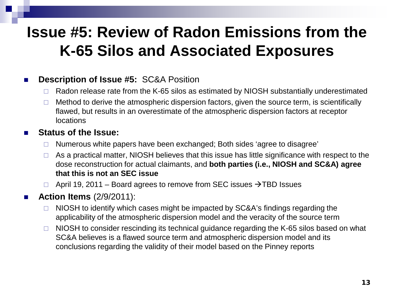### **Issue #5: Review of Radon Emissions from the K-65 Silos and Associated Exposures**

#### **Description of Issue #5: SC&A Position**

- Radon release rate from the K-65 silos as estimated by NIOSH substantially underestimated
- $\Box$  Method to derive the atmospheric dispersion factors, given the source term, is scientifically flawed, but results in an overestimate of the atmospheric dispersion factors at receptor **locations**

#### **Status of the Issue:**

- $\Box$  Numerous white papers have been exchanged; Both sides 'agree to disagree'
- $\Box$  As a practical matter, NIOSH believes that this issue has little significance with respect to the dose reconstruction for actual claimants, and **both parties (i.e., NIOSH and SC&A) agree that this is not an SEC issue**
- $\Box$  April 19, 2011 Board agrees to remove from SEC issues  $\rightarrow$ TBD Issues

#### **Action Items** (2/9/2011):

- $\Box$  NIOSH to identify which cases might be impacted by SC&A's findings regarding the applicability of the atmospheric dispersion model and the veracity of the source term
- $\Box$  NIOSH to consider rescinding its technical guidance regarding the K-65 silos based on what SC&A believes is a flawed source term and atmospheric dispersion model and its conclusions regarding the validity of their model based on the Pinney reports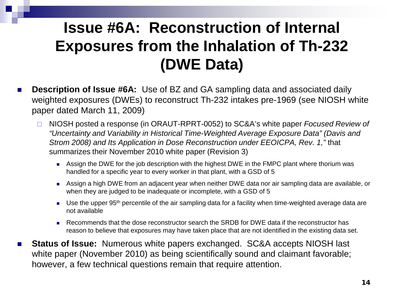## **Issue #6A: Reconstruction of Internal Exposures from the Inhalation of Th-232 (DWE Data)**

- **Description of Issue #6A:** Use of BZ and GA sampling data and associated daily weighted exposures (DWEs) to reconstruct Th-232 intakes pre-1969 (see NIOSH white paper dated March 11, 2009)
	- NIOSH posted a response (in ORAUT-RPRT-0052) to SC&A's white paper *Focused Review of "Uncertainty and Variability in Historical Time-Weighted Average Exposure Data" (Davis and Strom 2008) and Its Application in Dose Reconstruction under EEOICPA, Rev. 1,"* that summarizes their November 2010 white paper (Revision 3)
		- **Assign the DWE for the job description with the highest DWE in the FMPC plant where thorium was** handled for a specific year to every worker in that plant, with a GSD of 5
		- Assign a high DWE from an adjacent year when neither DWE data nor air sampling data are available, or when they are judged to be inadequate or incomplete, with a GSD of 5
		- Use the upper 95<sup>th</sup> percentile of the air sampling data for a facility when time-weighted average data are not available
		- Recommends that the dose reconstructor search the SRDB for DWE data if the reconstructor has reason to believe that exposures may have taken place that are not identified in the existing data set.
- Status of Issue: Numerous white papers exchanged. SC&A accepts NIOSH last white paper (November 2010) as being scientifically sound and claimant favorable; however, a few technical questions remain that require attention.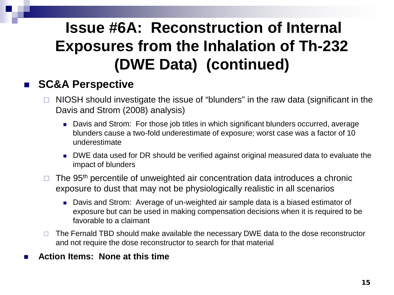# **Issue #6A: Reconstruction of Internal Exposures from the Inhalation of Th-232 (DWE Data) (continued)**

#### ■ SC&A Perspective

- $\Box$  NIOSH should investigate the issue of "blunders" in the raw data (significant in the Davis and Strom (2008) analysis)
	- Davis and Strom: For those job titles in which significant blunders occurred, average blunders cause a two-fold underestimate of exposure; worst case was a factor of 10 underestimate
	- DWE data used for DR should be verified against original measured data to evaluate the impact of blunders
- $\Box$  The 95<sup>th</sup> percentile of unweighted air concentration data introduces a chronic exposure to dust that may not be physiologically realistic in all scenarios
	- Davis and Strom: Average of un-weighted air sample data is a biased estimator of exposure but can be used in making compensation decisions when it is required to be favorable to a claimant
- $\Box$  The Fernald TBD should make available the necessary DWE data to the dose reconstructor and not require the dose reconstructor to search for that material
- **Action Items: None at this time**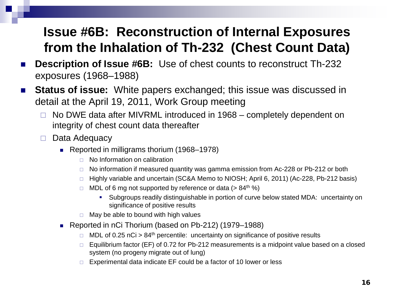### **Issue #6B: Reconstruction of Internal Exposures from the Inhalation of Th-232 (Chest Count Data)**

- **Description of Issue #6B:** Use of chest counts to reconstruct Th-232 exposures (1968–1988)
- Status of issue: White papers exchanged; this issue was discussed in detail at the April 19, 2011, Work Group meeting
	- $\Box$  No DWE data after MIVRML introduced in 1968 completely dependent on integrity of chest count data thereafter
	- $\Box$  Data Adequacy
		- Reported in milligrams thorium (1968–1978)
			- $\Box$  No Information on calibration
			- $\Box$  No information if measured quantity was gamma emission from Ac-228 or Pb-212 or both
			- □ Highly variable and uncertain (SC&A Memo to NIOSH; April 6, 2011) (Ac-228, Pb-212 basis)
			- $\Box$  MDL of 6 mg not supported by reference or data (> 84<sup>th %)</sup>
				- Subgroups readily distinguishable in portion of curve below stated MDA: uncertainty on significance of positive results
			- $\Box$  May be able to bound with high values
		- Reported in nCi Thorium (based on Pb-212) (1979–1988)
			- $\Box$  MDL of 0.25 nCi > 84<sup>th</sup> percentile: uncertainty on significance of positive results
			- $\Box$  Equilibrium factor (EF) of 0.72 for Pb-212 measurements is a midpoint value based on a closed system (no progeny migrate out of lung)
			- $\Box$  Experimental data indicate EF could be a factor of 10 lower or less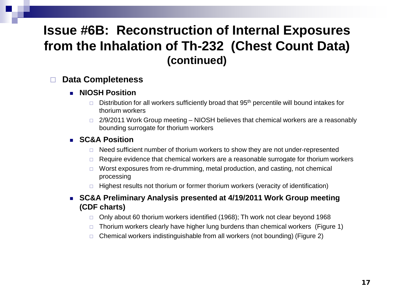### **Issue #6B: Reconstruction of Internal Exposures from the Inhalation of Th-232 (Chest Count Data) (continued)**

#### **Data Completeness**

- **NIOSH Position** 
	- $\Box$  Distribution for all workers sufficiently broad that 95<sup>th</sup> percentile will bound intakes for thorium workers
	- $\Box$  2/9/2011 Work Group meeting NIOSH believes that chemical workers are a reasonably bounding surrogate for thorium workers

#### **SC&A Position**

- $\Box$  Need sufficient number of thorium workers to show they are not under-represented
- $\Box$  Require evidence that chemical workers are a reasonable surrogate for thorium workers
- $\Box$  Worst exposures from re-drumming, metal production, and casting, not chemical processing
- $\Box$  Highest results not thorium or former thorium workers (veracity of identification)
- **SC&A Preliminary Analysis presented at 4/19/2011 Work Group meeting (CDF charts)**
	- $\Box$  Only about 60 thorium workers identified (1968); Th work not clear beyond 1968
	- $\Box$  Thorium workers clearly have higher lung burdens than chemical workers (Figure 1)
	- $\Box$  Chemical workers indistinguishable from all workers (not bounding) (Figure 2)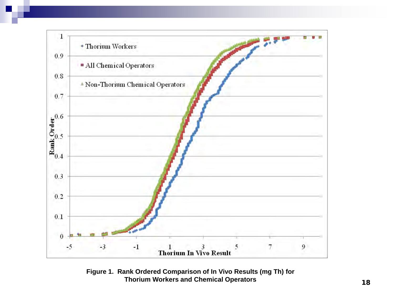

**Figure 1. Rank Ordered Comparison of In Vivo Results (mg Th) for Thorium Workers and Chemical Operators**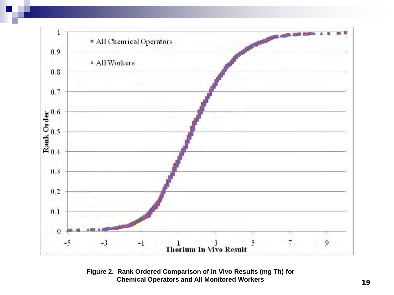

**Figure 2. Rank Ordered Comparison of In Vivo Results (mg Th) for Chemical Operators and All Monitored Workers**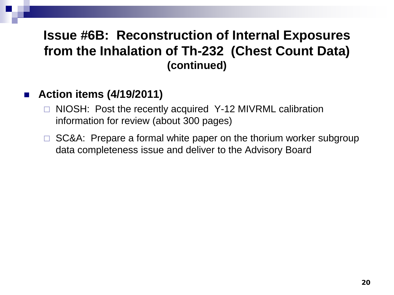### **Issue #6B: Reconstruction of Internal Exposures from the Inhalation of Th-232 (Chest Count Data) (continued)**

#### **Action items (4/19/2011)**

- □ NIOSH: Post the recently acquired Y-12 MIVRML calibration information for review (about 300 pages)
- $\Box$  SC&A: Prepare a formal white paper on the thorium worker subgroup data completeness issue and deliver to the Advisory Board